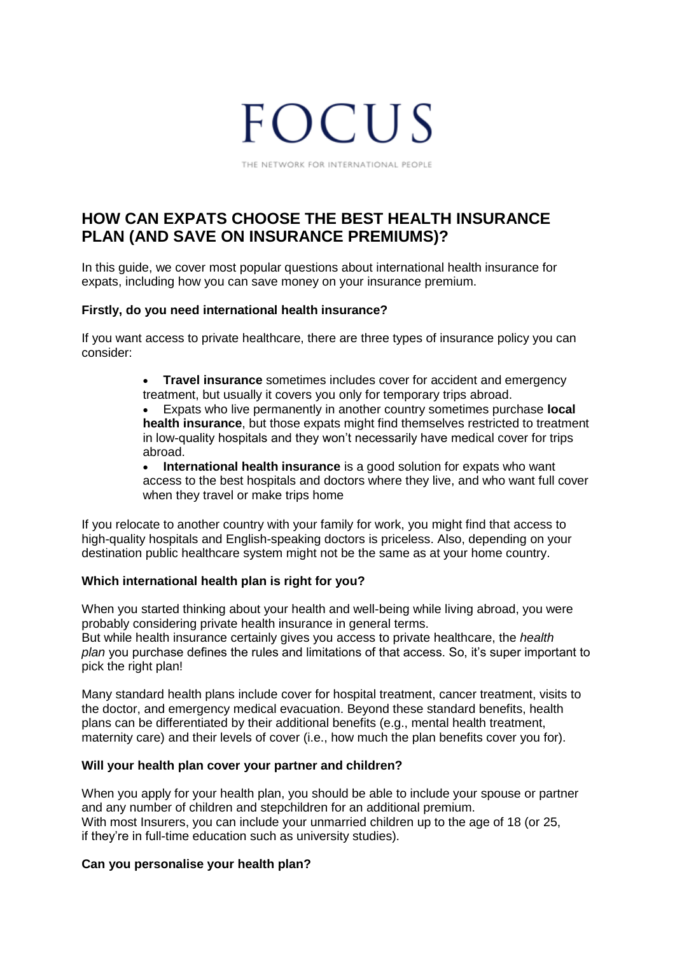# **FOCUS**

THE NETWORK FOR INTERNATIONAL PEOPLE

# **HOW CAN EXPATS CHOOSE THE BEST HEALTH INSURANCE PLAN (AND SAVE ON INSURANCE PREMIUMS)?**

In this guide, we cover most popular questions about international health insurance for expats, including how you can save money on your insurance premium.

#### **Firstly, do you need international health insurance?**

If you want access to private healthcare, there are three types of insurance policy you can consider:

> **Travel insurance** sometimes includes cover for accident and emergency treatment, but usually it covers you only for temporary trips abroad.

 Expats who live permanently in another country sometimes purchase **local health insurance**, but those expats might find themselves restricted to treatment in low-quality hospitals and they won't necessarily have medical cover for trips abroad.

 **International health insurance** is a good solution for expats who want access to the best hospitals and doctors where they live, and who want full cover when they travel or make trips home

If you relocate to another country with your family for work, you might find that access to high-quality hospitals and English-speaking doctors is priceless. Also, depending on your destination public healthcare system might not be the same as at your home country.

# **Which international health plan is right for you?**

When you started thinking about your health and well-being while living abroad, you were probably considering private health insurance in general terms. But while health insurance certainly gives you access to private healthcare, the *health plan* you purchase defines the rules and limitations of that access. So, it's super important to pick the right plan!

Many standard health plans include cover for hospital treatment, cancer treatment, visits to the doctor, and emergency medical evacuation. Beyond these standard benefits, health plans can be differentiated by their additional benefits (e.g., mental health treatment, maternity care) and their levels of cover (i.e., how much the plan benefits cover you for).

# **Will your health plan cover your partner and children?**

When you apply for your health plan, you should be able to include your spouse or partner and any number of children and stepchildren for an additional premium. With most Insurers, you can include your unmarried children up to the age of 18 (or 25, if they're in full-time education such as university studies).

# **Can you personalise your health plan?**